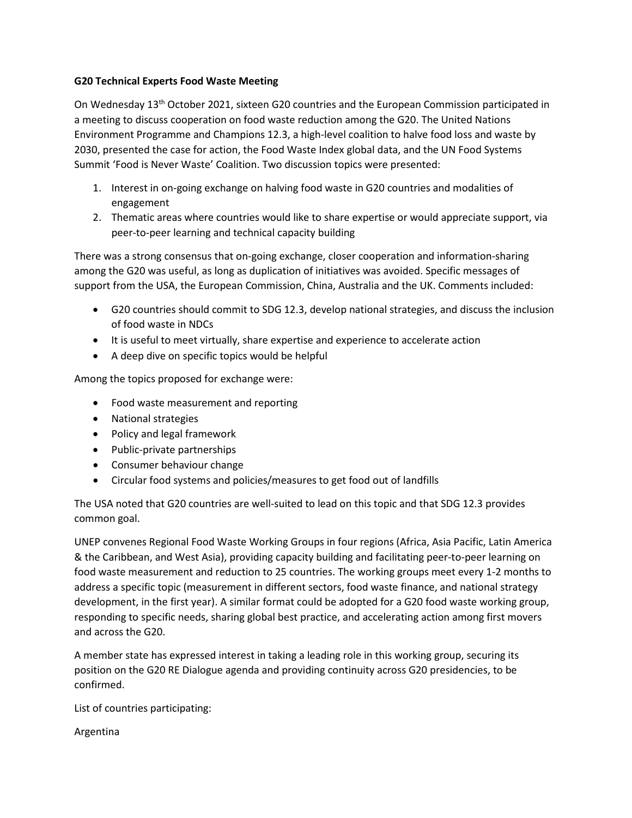## **G20 Technical Experts Food Waste Meeting**

On Wednesday 13th October 2021, sixteen G20 countries and the European Commission participated in a meeting to discuss cooperation on food waste reduction among the G20. The United Nations Environment Programme and Champions 12.3, a high-level coalition to halve food loss and waste by 2030, presented the case for action, the Food Waste Index global data, and the UN Food Systems Summit 'Food is Never Waste' Coalition. Two discussion topics were presented:

- 1. Interest in on-going exchange on halving food waste in G20 countries and modalities of engagement
- 2. Thematic areas where countries would like to share expertise or would appreciate support, via peer-to-peer learning and technical capacity building

There was a strong consensus that on-going exchange, closer cooperation and information-sharing among the G20 was useful, as long as duplication of initiatives was avoided. Specific messages of support from the USA, the European Commission, China, Australia and the UK. Comments included:

- G20 countries should commit to SDG 12.3, develop national strategies, and discuss the inclusion of food waste in NDCs
- It is useful to meet virtually, share expertise and experience to accelerate action
- A deep dive on specific topics would be helpful

Among the topics proposed for exchange were:

- Food waste measurement and reporting
- National strategies
- Policy and legal framework
- Public-private partnerships
- Consumer behaviour change
- Circular food systems and policies/measures to get food out of landfills

The USA noted that G20 countries are well-suited to lead on this topic and that SDG 12.3 provides common goal.

UNEP convenes Regional Food Waste Working Groups in four regions (Africa, Asia Pacific, Latin America & the Caribbean, and West Asia), providing capacity building and facilitating peer-to-peer learning on food waste measurement and reduction to 25 countries. The working groups meet every 1-2 months to address a specific topic (measurement in different sectors, food waste finance, and national strategy development, in the first year). A similar format could be adopted for a G20 food waste working group, responding to specific needs, sharing global best practice, and accelerating action among first movers and across the G20.

A member state has expressed interest in taking a leading role in this working group, securing its position on the G20 RE Dialogue agenda and providing continuity across G20 presidencies, to be confirmed.

List of countries participating:

Argentina